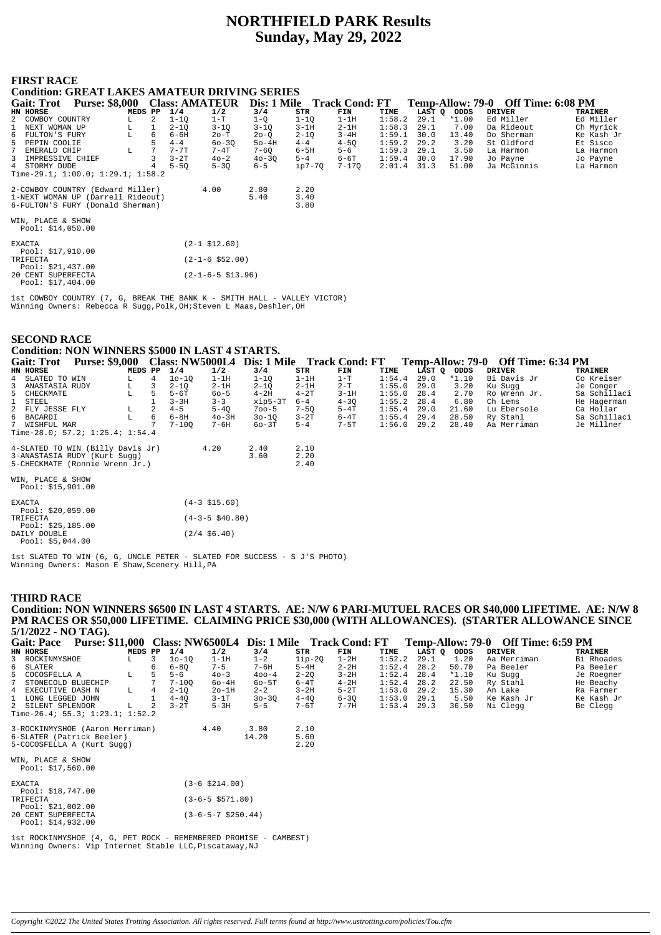# **NORTHFIELD PARK Results Sunday, May 29, 2022**

## **FIRST RACE**

Pool: \$17,404.00

## **Condition: GREAT LAKES AMATEUR DRIVING SERIES**

| <b>Purse: \$8,000</b><br><b>Gait: Trot</b> |         |   |          | <b>Class: AMATEUR</b>  | Dis: 1 Mile Track Cond: FT |          |           |        |        | Temp-Allow: 79-0 | Off Time: 6:08 PM |                |
|--------------------------------------------|---------|---|----------|------------------------|----------------------------|----------|-----------|--------|--------|------------------|-------------------|----------------|
| HN HORSE                                   | MEDS PP |   | 1/4      | 1/2                    | 3/4                        | STR      | FIN       | TIME   | LAST O | ODDS             | <b>DRIVER</b>     | <b>TRAINER</b> |
| 2 COWBOY COUNTRY                           | L       | 2 | $1 - 10$ | $1-T$                  | $1 - Q$                    | $1 - 10$ | $1-1H$    | 1:58.2 | 29.1   | $*1.00$          | Ed Miller         | Ed Miller      |
| NEXT WOMAN UP                              |         |   | $2 - 1Q$ | $3 - 1Q$               | $3 - 10$                   | $3-1H$   | $2 - 1H$  | 1:58.3 | 29.1   | 7.00             | Da Rideout        | Ch Myrick      |
| FULTON'S FURY<br>6                         | L       | 6 | $6 - 6H$ | 20-T                   | $20 - 0$                   | $2 - 10$ | $3 - 4H$  | 1:59.1 | 30.0   | 13.40            | Do Sherman        | Ke Kash Jr     |
| 5<br>PEPIN COOLIE                          |         | 5 | $4 - 4$  | $60 - 30$              | $50-4H$                    | $4 - 4$  | $4 - 50$  | 1:59.2 | 29.2   | 3.20             | St Oldford        | Et Sisco       |
| 7<br>EMERALD CHIP                          | L       |   | $7 - 7T$ | $7 - 4T$               | $7 - 60$                   | $6-5H$   | $5 - 6$   | 1:59.3 | 29.1   | 3.50             | La Harmon         | La Harmon      |
| IMPRESSIVE CHIEF<br>3                      |         | 3 | $3-2T$   | $40 - 2$               | $40 - 30$                  | $5 - 4$  | $6-6T$    | 1:59.4 | 30.0   | 17.90            | Jo Payne          | Jo Payne       |
| 4 STORMY DUDE                              |         |   | $5 - 50$ | $5 - 3Q$               | $6 - 5$                    | ip7-70   | $7 - 170$ | 2:01.4 | 31.3   | 51.00            | Ja McGinnis       | La Harmon      |
| Time-29.1; $1:00.0; 1:29.1; 1:58.2$        |         |   |          |                        |                            |          |           |        |        |                  |                   |                |
| 2-COWBOY COUNTRY (Edward Miller)           |         |   |          | 4.00                   | 2.80                       | 2.20     |           |        |        |                  |                   |                |
| 1-NEXT WOMAN UP (Darrell Rideout)          |         |   |          |                        | 5.40                       | 3.40     |           |        |        |                  |                   |                |
| 6-FULTON'S FURY (Donald Sherman)           |         |   |          |                        |                            | 3.80     |           |        |        |                  |                   |                |
|                                            |         |   |          |                        |                            |          |           |        |        |                  |                   |                |
| WIN, PLACE & SHOW                          |         |   |          |                        |                            |          |           |        |        |                  |                   |                |
| Pool: $$14,050.00$                         |         |   |          |                        |                            |          |           |        |        |                  |                   |                |
| <b>EXACTA</b>                              |         |   |          | $(2-1$ \$12.60)        |                            |          |           |        |        |                  |                   |                |
| Pool: $$17,910.00$                         |         |   |          |                        |                            |          |           |        |        |                  |                   |                |
| TRIFECTA                                   |         |   |          | $(2 - 1 - 6 \ $52.00)$ |                            |          |           |        |        |                  |                   |                |
| Pool: $$21,437.00$                         |         |   |          |                        |                            |          |           |        |        |                  |                   |                |
| 20 CENT SUPERFECTA                         |         |   |          | (2-1-6-5 \$13.96)      |                            |          |           |        |        |                  |                   |                |

1st COWBOY COUNTRY (7, G, BREAK THE BANK K - SMITH HALL - VALLEY VICTOR) Winning Owners: Rebecca R Sugg,Polk,OH;Steven L Maas,Deshler,OH

#### **SECOND RACE Condition: NON WINNERS \$5000 IN LAST 4 STARTS.**

| Gait: Trot                                                                                                              | <b>Purse: \$9,000</b> |                    |                |           |                     | Class: NW5000L4 Dis: 1 Mile Track Cond: FT |                      |          |        |             |         | Temp-Allow: 79-0 Off Time: 6:34 PM |              |
|-------------------------------------------------------------------------------------------------------------------------|-----------------------|--------------------|----------------|-----------|---------------------|--------------------------------------------|----------------------|----------|--------|-------------|---------|------------------------------------|--------------|
| <b>HN HORSE</b>                                                                                                         |                       | MEDS PP            |                | 1/4       | 1/2                 | 3/4                                        | STR                  | FIN      | TIME   | LAST Q ODDS |         | <b>DRIVER</b>                      | TRAINER      |
| 4 SLATED TO WIN                                                                                                         |                       | L                  | $\overline{4}$ | $10 - 10$ | $1-1H$              | $1 - 10$                                   | $1-1H$               | $1-T$    | 1:54.4 | 29.0        | $*1.10$ | Bi Davis Jr                        | Co Kreiser   |
| 3 ANASTASIA RUDY                                                                                                        |                       | L                  |                | $2 - 10$  | $2-1H$              | $2 - 1Q$                                   | $2-1H$               | $2-T$    | 1:55.0 | 29.0        | 3.20    | Ku Sugg                            | Je Conger    |
| 5 CHECKMATE                                                                                                             |                       |                    |                | 5-6T      | $60 - 5$            | $4-2H$                                     | $4-2T$               | $3-1H$   | 1:55.0 | 28.4        | 2.70    | Ro Wrenn Jr.                       | Sa Schillaci |
| STEEL<br>$\mathbf{1}$                                                                                                   |                       |                    |                | $3 - 3H$  | $3 - 3$             | $xip5-3T$                                  | $6 - 4$              | $4 - 3Q$ | 1:55.2 | 28.4        | 6.80    | Ch Lems                            | He Hagerman  |
| 2 FLY JESSE FLY                                                                                                         |                       | $^{\rm L}_{\rm L}$ |                | $4 - 5$   | $5 - 40$            | $700 - 5$                                  | $7 - 50$             | $5-4T$   | 1:55.4 | 29.0        | 21.60   | Lu Ebersole                        | Ca Hollar    |
| 6 BACARDI                                                                                                               |                       |                    | 6              | $6-8H$    | $40-3H$             | 30-10                                      | $3-2T$               | 6-4T     | 1:55.4 | 29.4        | 28.50   | Ry Stahl                           | Sa Schillaci |
| 7 WISHFUL MAR                                                                                                           |                       |                    |                | $7 - 100$ | 7-6H                | 60-3T                                      | $5 - 4$              | 7-5T     | 1:56.0 | 29.2        | 28.40   | Aa Merriman                        | Je Millner   |
| Time-28.0; 57.2; 1:25.4; 1:54.4                                                                                         |                       |                    |                |           |                     |                                            |                      |          |        |             |         |                                    |              |
| 4-SLATED TO WIN (Billy Davis Jr)<br>3-ANASTASIA RUDY (Kurt Sugg)<br>5-CHECKMATE (Ronnie Wrenn Jr.)<br>WIN, PLACE & SHOW |                       |                    |                |           | 4.20                | 2.40<br>3.60                               | 2.10<br>2.20<br>2.40 |          |        |             |         |                                    |              |
| Pool: \$15,901.00                                                                                                       |                       |                    |                |           |                     |                                            |                      |          |        |             |         |                                    |              |
| <b>EXACTA</b><br>Pool: \$20,059.00                                                                                      |                       |                    |                |           | $(4-3$ \$15.60)     |                                            |                      |          |        |             |         |                                    |              |
| TRIFECTA<br>Pool: \$25,185.00                                                                                           |                       |                    |                |           | $(4-3-5 \; $40.80)$ |                                            |                      |          |        |             |         |                                    |              |
| DAILY DOUBLE<br>Pool: $$5,044.00$                                                                                       |                       |                    |                |           | $(2/4 \; $6.40)$    |                                            |                      |          |        |             |         |                                    |              |

1st SLATED TO WIN (6, G, UNCLE PETER - SLATED FOR SUCCESS - S J'S PHOTO) Winning Owners: Mason E Shaw,Scenery Hill,PA

#### **THIRD RACE**

**Condition: NON WINNERS \$6500 IN LAST 4 STARTS. AE: N/W 6 PARI-MUTUEL RACES OR \$40,000 LIFETIME. AE: N/W 8 PM RACES OR \$50,000 LIFETIME. CLAIMING PRICE \$30,000 (WITH ALLOWANCES). (STARTER ALLOWANCE SINCE 5/1/2022 - NO TAG).**

| <b>Purse: \$11,000 Class: NW6500L4</b><br><b>Gait: Pace</b> |         |               |           |                            | Dis: 1 Mile Track Cond: FT |          |          |        |        |         |               | Temp-Allow: 79-0 Off Time: 6:59 PM |                |
|-------------------------------------------------------------|---------|---------------|-----------|----------------------------|----------------------------|----------|----------|--------|--------|---------|---------------|------------------------------------|----------------|
| HN HORSE                                                    | MEDS PP |               | 1/4       | 1/2                        | 3/4                        | STR      | FIN      | TIME   | LAST Q | ODDS    | <b>DRIVER</b> |                                    | <b>TRAINER</b> |
| 3 ROCKINMYSHOE<br>L                                         |         | 3             | $10 - 10$ | $1-1H$                     | $1 - 2$                    | $1ip-2Q$ | $1-2H$   | 1:52.2 | 29.1   | 1.20    | Aa Merriman   |                                    | Bi Rhoades     |
| 6<br>SLATER                                                 |         | 6             | $6 - 80$  | $7 - 5$                    | $7 - 6H$                   | 5-4H     | $2 - 2H$ | 1:52.4 | 28.2   | 50.70   | Pa Beeler     |                                    | Pa Beeler      |
| 5<br>COCOSFELLA A<br>L                                      |         |               | $5 - 6$   | $40 - 3$                   | $400 - 4$                  | $2 - 20$ | $3-2H$   | 1:52.4 | 28.4   | $*1.10$ | Ku Suqq       |                                    | Je Roegner     |
| STONECOLD BLUECHIP                                          |         |               | $7 - 100$ | $60-4H$                    | $60 - 5T$                  | $6-4T$   | $4-2H$   | 1:52.4 | 28.2   | 22.50   | Ry Stahl      |                                    | He Beachy      |
| 4 EXECUTIVE DASH N<br>L                                     |         | 4             | $2 - 10$  | $2o-1H$                    | $2 - 2$                    | $3 - 2H$ | $5-2T$   | 1:53.0 | 29.2   | 15.30   | An Lake       |                                    | Ra Farmer      |
| LONG LEGGED JOHN                                            |         |               | $4 - 40$  | $3-1T$                     | $30 - 30$                  | $4 - 40$ | $6 - 30$ | 1:53.0 | 29.1   | 5.50    | Ke Kash Jr    |                                    | Ke Kash Jr     |
| 2 SILENT SPLENDOR<br>L                                      |         | $\mathcal{L}$ | $3-2T$    | $5-3H$                     | $5 - 5$                    | $7-6T$   | $7 - 7H$ | 1:53.4 | 29.3   | 36.50   | Ni Clegg      |                                    | Be Clegg       |
| Time-26.4; 55.3; $1:23.1; 1:52.2$                           |         |               |           |                            |                            |          |          |        |        |         |               |                                    |                |
| 3-ROCKINMYSHOE (Aaron Merriman)                             |         |               |           | 4.40                       | 3.80                       | 2.10     |          |        |        |         |               |                                    |                |
| 6-SLATER (Patrick Beeler)                                   |         |               |           |                            | 14.20                      | 5.60     |          |        |        |         |               |                                    |                |
| 5-COCOSFELLA A (Kurt Sugg)                                  |         |               |           |                            |                            | 2.20     |          |        |        |         |               |                                    |                |
| WIN, PLACE & SHOW                                           |         |               |           |                            |                            |          |          |        |        |         |               |                                    |                |
| Pool: $$17,560.00$                                          |         |               |           |                            |                            |          |          |        |        |         |               |                                    |                |
| <b>EXACTA</b>                                               |         |               |           | $(3-6 \, $214.00)$         |                            |          |          |        |        |         |               |                                    |                |
| Pool: \$18,747.00                                           |         |               |           |                            |                            |          |          |        |        |         |               |                                    |                |
| TRIFECTA                                                    |         |               |           | $(3-6-5 \text{ } $571.80)$ |                            |          |          |        |        |         |               |                                    |                |
| Pool: $$21,002.00$                                          |         |               |           |                            |                            |          |          |        |        |         |               |                                    |                |
| 20 CENT SUPERFECTA                                          |         |               |           | $(3-6-5-7 \ $250.44)$      |                            |          |          |        |        |         |               |                                    |                |
| Pool: $$14,932.00$                                          |         |               |           |                            |                            |          |          |        |        |         |               |                                    |                |

1st ROCKINMYSHOE (4, G, PET ROCK - REMEMBERED PROMISE - CAMBEST) Winning Owners: Vip Internet Stable LLC,Piscataway,NJ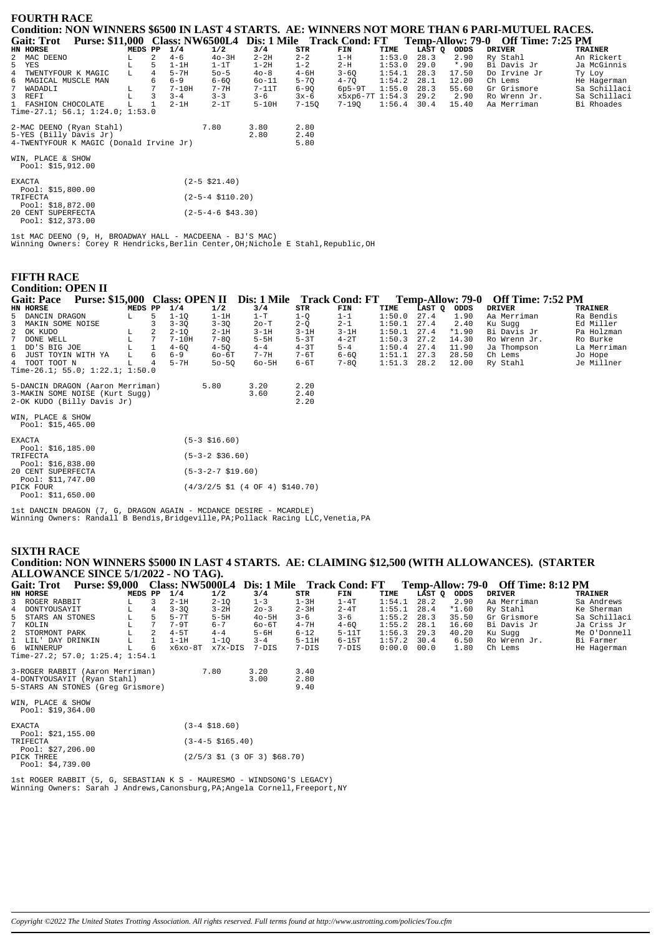| <b>FOURTH RACE</b>                                                                                       |         |   |                             |                      |           |           |                      |               |        |         |              |                |  |
|----------------------------------------------------------------------------------------------------------|---------|---|-----------------------------|----------------------|-----------|-----------|----------------------|---------------|--------|---------|--------------|----------------|--|
| Condition: NON WINNERS \$6500 IN LAST 4 STARTS. AE: WINNERS NOT MORE THAN 6 PARI-MUTUEL RACES.           |         |   |                             |                      |           |           |                      |               |        |         |              |                |  |
| Gait: Trot Purse: \$11,000 Class: NW6500L4 Dis: 1 Mile Track Cond: FT Temp-Allow: 79-0 Off Time: 7:25 PM |         |   |                             |                      |           |           |                      |               |        |         |              |                |  |
| HN HORSE                                                                                                 | MEDS PP |   | 1/4                         | 1/2                  | 3/4       | STR       | FIN                  | TIME          | LAST Q | ODDS    | DRIVER       | <b>TRAINER</b> |  |
| 2 MAC DEENO                                                                                              |         | 2 | $4 - 6$                     | $40-3H$              | $2-2H$    | $2 - 2$   | 1-H                  | 1:53.0        | 28.3   | 2.90    | Ry Stahl     | An Rickert     |  |
| 5 YES                                                                                                    |         | 5 | $1-1H$                      | $1-1T$               | $1-2H$    | $1 - 2$   | $2-H$                | 1:53.0        | 29.0   | $*$ .90 | Bi Davis Jr  | Ja McGinnis    |  |
| 4 TWENTYFOUR K MAGIC                                                                                     | L       |   | $5-7H$                      | $50 - 5$             | $40 - 8$  | $4 - 6H$  | $3 - 6Q$             | 1:54.1        | 28.3   | 17.50   | Do Irvine Jr | Ty Loy         |  |
| 6 MAGICAL MUSCLE MAN                                                                                     |         |   | $6 - 9$                     | $6 - 60$             | $60 - 11$ | $5 - 70$  | $4 - 70$             | $1:54.2$ 28.1 |        | 12.00   | Ch Lems      | He Hagerman    |  |
| 7<br>WADADLI                                                                                             |         |   | $7-10H$                     | 7-7H                 | $7-11T$   | $6 - 90$  | $6p5-9T$             | 1:55.0        | 28.3   | 55.60   | Gr Grismore  | Sa Schillaci   |  |
| 3 REFI                                                                                                   |         | 3 | $3 - 4$                     | $3 - 3$              | $3 - 6$   | $3x-6$    | x5xp6-7T 1:54.3 29.2 |               |        | 2.90    | Ro Wrenn Jr. | Sa Schillaci   |  |
| 1 FASHION CHOCOLATE                                                                                      |         |   | $2-1H$                      | $2-1T$               | $5-10H$   | $7 - 150$ | 7-190                | $1:56.4$ 30.4 |        | 15.40   | Aa Merriman  | Bi Rhoades     |  |
| Time-27.1; $56.1; 1:24.0; 1:53.0$                                                                        |         |   |                             |                      |           |           |                      |               |        |         |              |                |  |
| 2-MAC DEENO (Ryan Stahl)                                                                                 |         |   |                             | 7.80                 | 3.80      | 2.80      |                      |               |        |         |              |                |  |
| 5-YES (Billy Davis Jr)                                                                                   |         |   |                             |                      | 2.80      | 2.40      |                      |               |        |         |              |                |  |
| 4-TWENTYFOUR K MAGIC (Donald Irvine Jr)                                                                  |         |   |                             |                      |           | 5.80      |                      |               |        |         |              |                |  |
| WIN, PLACE & SHOW<br>Pool: \$15,912.00                                                                   |         |   |                             |                      |           |           |                      |               |        |         |              |                |  |
| <b>EXACTA</b><br>Pool: \$15,800.00                                                                       |         |   |                             | $(2-5 \; $21.40)$    |           |           |                      |               |        |         |              |                |  |
| TRIFECTA<br>Pool: \$18,872.00                                                                            |         |   | $(2-5-4 \; \text{$}110.20)$ |                      |           |           |                      |               |        |         |              |                |  |
| 20 CENT SUPERFECTA<br>Pool: \$12,373.00                                                                  |         |   |                             | $(2-5-4-6 \ $43.30)$ |           |           |                      |               |        |         |              |                |  |

lst MAC DEENO (9, H, BROADWAY HALL - MACDEENA - BJ'S MAC)<br>Winning Owners: Corey R Hendricks,Berlin Center,OH;Nichole E Stahl,Republic,OH

#### **FIFTH RACE** Condition: OPEN II

| Congnon, Of Erth                     |  |         |                 |                      |           |                                                           |          |          |        |        |                         |                          |                |
|--------------------------------------|--|---------|-----------------|----------------------|-----------|-----------------------------------------------------------|----------|----------|--------|--------|-------------------------|--------------------------|----------------|
| <b>Gait: Pace</b>                    |  |         |                 |                      |           | Purse: \$15,000 Class: OPEN II Dis: 1 Mile Track Cond: FT |          |          |        |        | <b>Temp-Allow: 79-0</b> | <b>Off Time: 7:52 PM</b> |                |
| HN HORSE                             |  | MEDS PP |                 | 1/4                  | 1/2       | 3/4                                                       | STR      | FIN      | TIME   | LAST Q | ODDS                    | <b>DRIVER</b>            | <b>TRAINER</b> |
| 5 DANCIN DRAGON                      |  | L       | 5               | $1 - 10$             | $1-1H$    | $1-T$                                                     | $1-Q$    | $1 - 1$  | 1:50.0 | 27.4   | 1.90                    | Aa Merriman              | Ra Bendis      |
| 3<br>MAKIN SOME NOISE                |  |         |                 | $3 - 30$             | $3 - 3Q$  | $2o-T$                                                    | $2-Q$    | $2 - 1$  | 1:50.1 | 27.4   | 2.40                    | Ku Sugg                  | Ed Miller      |
| 2 OK KUDO                            |  | L       | 2               | $2 - 1Q$             | $2-1H$    | $3-1H$                                                    | $3-1H$   | $3-1H$   | 1:50.1 | 27.4   | $*1.90$                 | Bi Davis Jr              | Pa Holzman     |
| $7^{\circ}$<br>DONE WELL             |  | L       | $7\phantom{.0}$ | $7-10H$              | $7 - 80$  | $5-5H$                                                    | $5-3T$   | $4-2T$   | 1:50.3 | 27.2   | 14.30                   | Ro Wrenn Jr.             | Ro Burke       |
| $\mathbf{1}$<br>DD'S BIG JOE         |  |         |                 | $4 - 6Q$             | $4 - 5Q$  | $4 - 4$                                                   | $4-3T$   | $5 - 4$  | 1:50.4 | 27.4   | 11.90                   | Ja Thompson              | La Merriman    |
| 6 JUST TOYIN WITH YA                 |  | L       | 6               | $6 - 9$              | 60-6T     | $7 - 7H$                                                  | 7-6T     | $6 - 60$ | 1:51.1 | 27.3   | 28.50                   | Ch Lems                  | Jo Hope        |
| 4 TOOT TOOT N                        |  | L       | $\overline{4}$  | $5-7H$               | $50 - 50$ | $60 - 5H$                                                 | $6 - 6T$ | $7 - 8Q$ | 1:51.3 | 28.2   | 12.00                   | Ry Stahl                 | Je Millner     |
| Time-26.1; 55.0; $1:22.1$ ; $1:50.0$ |  |         |                 |                      |           |                                                           |          |          |        |        |                         |                          |                |
| 5-DANCIN DRAGON (Aaron Merriman)     |  |         |                 | 5.80                 |           | 3.20                                                      | 2.20     |          |        |        |                         |                          |                |
| 3-MAKIN SOME NOISE (Kurt Suqq)       |  |         |                 |                      |           | 3.60                                                      | 2.40     |          |        |        |                         |                          |                |
| 2-OK KUDO (Billy Davis Jr)           |  |         |                 |                      |           |                                                           | 2.20     |          |        |        |                         |                          |                |
| WIN, PLACE & SHOW                    |  |         |                 |                      |           |                                                           |          |          |        |        |                         |                          |                |
| Pool: $$15,465.00$                   |  |         |                 |                      |           |                                                           |          |          |        |        |                         |                          |                |
| <b>EXACTA</b>                        |  |         |                 | $(5-3 \; $16.60)$    |           |                                                           |          |          |        |        |                         |                          |                |
| Pool: \$16,185.00                    |  |         |                 |                      |           |                                                           |          |          |        |        |                         |                          |                |
| TRIFECTA                             |  |         |                 | $(5-3-2 \; $36.60)$  |           |                                                           |          |          |        |        |                         |                          |                |
| Pool: $$16,838.00$                   |  |         |                 |                      |           |                                                           |          |          |        |        |                         |                          |                |
| 20 CENT SUPERFECTA                   |  |         |                 | $(5-3-2-7 \ $19.60)$ |           |                                                           |          |          |        |        |                         |                          |                |
| Pool: \$11,747.00<br>PICK FOUR       |  |         |                 |                      |           | $(4/3/2/5$ \$1 (4 OF 4) \$140.70)                         |          |          |        |        |                         |                          |                |
| Pool: $$11,650.00$                   |  |         |                 |                      |           |                                                           |          |          |        |        |                         |                          |                |
|                                      |  |         |                 |                      |           |                                                           |          |          |        |        |                         |                          |                |

1st DANCIN DRAGON (7, G, DRAGON AGAIN - MCDANCE DESIRE - MCARDLE)<br>Winning Owners: Randall B Bendis, Bridgeville, PA; Pollack Racing LLC, Venetia, PA

#### **SIXTH RACE** Condition: NON WINNERS \$5000 IN LAST 4 STARTS. AE: CLAIMING \$12,500 (WITH ALLOWANCES). (STARTER ALLOWANCE SINCE 5/1/2022 - NO TAG).

| <b>Gait: Trot</b>                    | <b>Purse: \$9,000</b> |         |   |          |                      |                                                                           |           |          |        |             |         | Class: NW5000L4 Dis: 1 Mile Track Cond: FT Temp-Allow: 79-0 Off Time: 8:12 PM |              |
|--------------------------------------|-----------------------|---------|---|----------|----------------------|---------------------------------------------------------------------------|-----------|----------|--------|-------------|---------|-------------------------------------------------------------------------------|--------------|
| HN HORSE                             |                       | MEDS PP |   | 1/4      | 1/2                  | 3/4                                                                       | STR       | FIN      | TIME   | LAST Q ODDS |         | DRIVER                                                                        | TRAINER      |
| 3 ROGER RABBIT                       |                       | L.      | 3 | $2-1H$   | $2 - 10$             | $1 - 3$                                                                   | $1-3H$    | $1-4T$   | 1:54.1 | 28.2        | 2.90    | Aa Merriman                                                                   | Sa Andrews   |
| DONTYOUSAYIT<br>4                    |                       | L       | 4 | $3 - 30$ | $3-2H$               | $20 - 3$                                                                  | $2 - 3H$  | $2 - 4T$ | 1:55.1 | 28.4        | $*1.60$ | Ry Stahl                                                                      | Ke Sherman   |
| 5 STARS AN STONES                    |                       | L       | 5 | $5-7T$   | $5-5H$               | $40 - 5H$                                                                 | $3 - 6$   | $3 - 6$  | 1:55.2 | 28.3        | 35.50   | Gr Grismore                                                                   | Sa Schillaci |
| 7 KOLIN                              |                       | L       | 7 | $7-9T$   | $6 - 7$              | $60-6T$                                                                   | $4 - 7H$  | $4 - 6Q$ | 1:55.2 | 28.1        | 16.60   | Bi Davis Jr                                                                   | Ja Criss Jr  |
| 2 STORMONT PARK                      |                       |         | 2 | $4-5T$   | $4 - 4$              | 5-6H                                                                      | $6 - 12$  | $5-11T$  | 1:56.3 | 29.3        | 40.20   | Ku Suqq                                                                       | Me O'Donnell |
| 1 LIL' DAY DRINKIN                   |                       | L       |   | $1-1H$   | $1 - 1Q$             | $3 - 4$                                                                   | $5 - 11H$ | $6-15T$  | 1:57.2 | 30.4        | 6.50    | Ro Wrenn Jr.                                                                  | Bi Farmer    |
| 6 WINNERUP                           |                       | L       | 6 | х6хо-8Т  | x7x-DIS              | 7-DIS                                                                     | $7-DIS$   | $7-DIS$  | 0:00.0 | 00.0        | 1.80    | Ch Lems                                                                       | He Hagerman  |
| Time-27.2; 57.0; $1:25.4$ ; $1:54.1$ |                       |         |   |          |                      |                                                                           |           |          |        |             |         |                                                                               |              |
| 3-ROGER RABBIT (Aaron Merriman)      |                       |         |   |          | 7.80                 | 3.20                                                                      | 3.40      |          |        |             |         |                                                                               |              |
| 4-DONTYOUSAYIT (Ryan Stahl)          |                       |         |   |          |                      | 3.00                                                                      | 2.80      |          |        |             |         |                                                                               |              |
| 5-STARS AN STONES (Greg Grismore)    |                       |         |   |          |                      |                                                                           | 9.40      |          |        |             |         |                                                                               |              |
| WIN, PLACE & SHOW                    |                       |         |   |          |                      |                                                                           |           |          |        |             |         |                                                                               |              |
| Pool: $$19,364.00$                   |                       |         |   |          |                      |                                                                           |           |          |        |             |         |                                                                               |              |
| EXACTA                               |                       |         |   |          | $(3-4 \; $18.60)$    |                                                                           |           |          |        |             |         |                                                                               |              |
| Pool: \$21,155.00                    |                       |         |   |          |                      |                                                                           |           |          |        |             |         |                                                                               |              |
| TRIFECTA                             |                       |         |   |          | $(3-4-5 \; $165.40)$ |                                                                           |           |          |        |             |         |                                                                               |              |
| Pool: $$27,206.00$                   |                       |         |   |          |                      | $(2/5/3 \text{ } 51 \text{ } (3 \text{ } 0F \text{ } 3) \text{ } $68.70)$ |           |          |        |             |         |                                                                               |              |
| PICK THREE<br>Pool: $$4,739.00$      |                       |         |   |          |                      |                                                                           |           |          |        |             |         |                                                                               |              |

lst ROGER RABBIT (5, G, SEBASTIAN K S - MAURESMO - WINDSONG'S LEGACY)<br>Winning Owners: Sarah J Andrews, Canonsburg, PA;Angela Cornell, Freeport, NY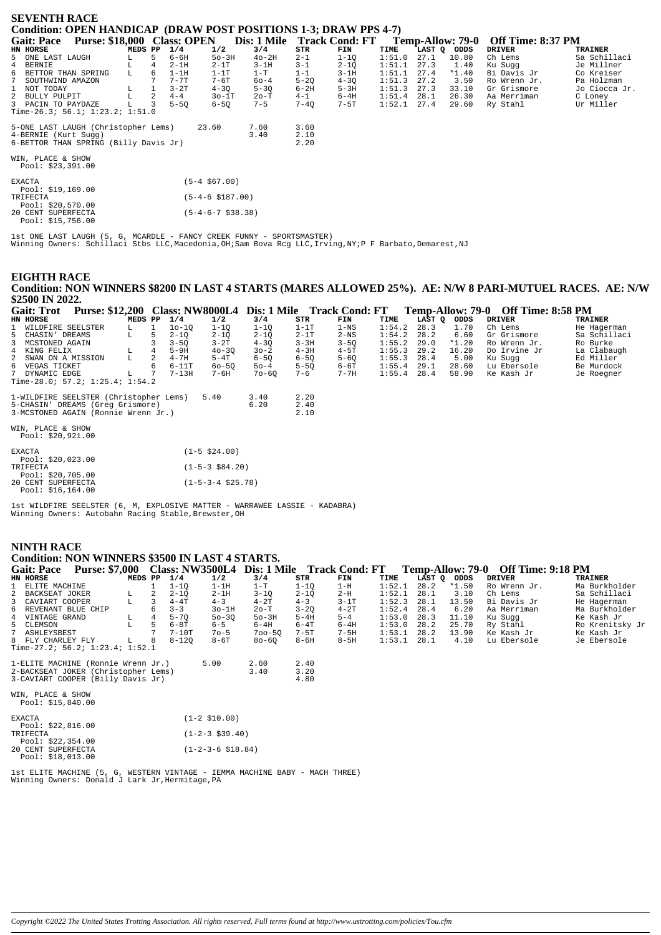| <b>SEVENTH RACE</b>                                                     |                    |                |          |                         |                            |          |          |        |                  |                          |                |  |  |
|-------------------------------------------------------------------------|--------------------|----------------|----------|-------------------------|----------------------------|----------|----------|--------|------------------|--------------------------|----------------|--|--|
| <b>Condition: OPEN HANDICAP (DRAW POST POSITIONS 1-3; DRAW PPS 4-7)</b> |                    |                |          |                         |                            |          |          |        |                  |                          |                |  |  |
| Purse: \$18,000 Class: OPEN<br><b>Gait: Pace</b>                        |                    |                |          |                         | Dis: 1 Mile Track Cond: FT |          |          |        | Temp-Allow: 79-0 | <b>Off Time: 8:37 PM</b> |                |  |  |
| HN HORSE                                                                | MEDS PP            |                | 1/4      | 1/2                     | 3/4                        | STR      | FIN      | TIME   | LAST Q<br>ODDS   | <b>DRIVER</b>            | <b>TRAINER</b> |  |  |
| 5 ONE LAST LAUGH                                                        |                    |                | $6 - 6H$ | $50-3H$                 | $40-2H$                    | $2 - 1$  | $1-1Q$   | 1:51.0 | 27.1<br>10.80    | Ch Lems                  | Sa Schillaci   |  |  |
| 4 BERNIE                                                                | L                  | $\overline{4}$ | $2-1H$   | $2-1T$                  | $3-1H$                     | $3 - 1$  | $2 - 1Q$ | 1:51.1 | 27.3<br>1.40     | Ku Sugg                  | Je Millner     |  |  |
| 6<br>BETTOR THAN SPRING                                                 | L                  | 6              | $1-1H$   | $1-1T$                  | $1-T$                      | $1 - 1$  | $3-1H$   | 1:51.1 | $*1.40$<br>27.4  | Bi Davis Jr              | Co Kreiser     |  |  |
| $7\overline{ }$<br>SOUTHWIND AMAZON                                     |                    |                | $7 - 7T$ | $7-6T$                  | $60 - 4$                   | $5 - 20$ | $4 - 3Q$ | 1:51.3 | 27.2<br>3.50     | Ro Wrenn Jr.             | Pa Holzman     |  |  |
| $\mathbf{1}$<br>NOT TODAY                                               | $^{\rm L}_{\rm L}$ |                | $3-2T$   | $4 - 30$                | $5 - 30$                   | $6-2H$   | $5-3H$   | 1:51.3 | 27.3<br>33.10    | Gr Grismore              | Jo Ciocca Jr.  |  |  |
| 2<br>BULLY PULPIT                                                       |                    | 2              | $4 - 4$  | $30-1T$                 | 20-T                       | $4 - 1$  | $6-4H$   | 1:51.4 | 26.30<br>28.1    | Aa Merriman              | C Loney        |  |  |
| 3 PACIN TO PAYDAZE                                                      |                    |                | $5 - 50$ | $6 - 50$                | $7 - 5$                    | $7 - 4Q$ | $7-5T$   | 1:52.1 | 27.4<br>29.60    | Ry Stahl                 | Ur Miller      |  |  |
| Time-26.3; 56.1; $1:23.2; 1:51.0$                                       |                    |                |          |                         |                            |          |          |        |                  |                          |                |  |  |
| 5-ONE LAST LAUGH (Christopher Lems)                                     |                    |                |          | 23.60                   | 7.60                       | 3.60     |          |        |                  |                          |                |  |  |
| 4-BERNIE (Kurt Sugg)                                                    |                    |                |          |                         | 3.40                       | 2.10     |          |        |                  |                          |                |  |  |
| 6-BETTOR THAN SPRING (Billy Davis Jr)                                   |                    |                |          |                         |                            | 2.20     |          |        |                  |                          |                |  |  |
|                                                                         |                    |                |          |                         |                            |          |          |        |                  |                          |                |  |  |
| WIN, PLACE & SHOW                                                       |                    |                |          |                         |                            |          |          |        |                  |                          |                |  |  |
| Pool: $$23,391.00$                                                      |                    |                |          |                         |                            |          |          |        |                  |                          |                |  |  |
| <b>EXACTA</b>                                                           |                    |                |          | $(5-4, $67.00)$         |                            |          |          |        |                  |                          |                |  |  |
| Pool: \$19,169.00                                                       |                    |                |          |                         |                            |          |          |        |                  |                          |                |  |  |
| TRIFECTA                                                                |                    |                |          | $(5 - 4 - 6 \ $187.00)$ |                            |          |          |        |                  |                          |                |  |  |
| Pool: $$20,570.00$                                                      |                    |                |          |                         |                            |          |          |        |                  |                          |                |  |  |
| 20 CENT SUPERFECTA                                                      |                    |                |          | $(5-4-6-7 \ $38.38)$    |                            |          |          |        |                  |                          |                |  |  |
| Pool: $$15,756.00$                                                      |                    |                |          |                         |                            |          |          |        |                  |                          |                |  |  |

lst ONE LAST LAUGH (5, G, MCARDLE - FANCY CREEK FUNNY - SPORTSMASTER)<br>Winning Owners: Schillaci Stbs LLC,Macedonia,OH;Sam Bova Rcg LLC,Irving,NY;P F Barbato,Demarest,NJ

#### **EIGHTH RACE**

Condition: NON WINNERS \$8200 IN LAST 4 STARTS (MARES ALLOWED 25%). AE: N/W 8 PARI-MUTUEL RACES. AE: N/W \$2500 IN 2022.  $\omega$ : \$12.200  $\sim$  Class: NW8000I 4  $\sim$  Dis: 1 Mile  $\sim$  Track Cond: FT  $T_{\text{cmm}}$  Allows 70.0. Off  $T_{\text{cmm}}$ , 9.50 DM  $T_{\alpha}$ :  $T_{\alpha\alpha}$ 

| Gail: 1 Fol<br><b>Purse: \$12,200 Class: INVOUUUL4 DIS: 1 IVINE TRACK CONG: FT</b> |         |    |           |                      |          |          |          |        |        |         | Temp-Allow: 79-0 UIL THE: 8:58 FM |                |
|------------------------------------------------------------------------------------|---------|----|-----------|----------------------|----------|----------|----------|--------|--------|---------|-----------------------------------|----------------|
| HN HORSE                                                                           | MEDS PP |    | 1/4       | 1/2                  | 3/4      | STR      | FIN      | TIME   | LAST O | ODDS    | <b>DRIVER</b>                     | <b>TRAINER</b> |
| 1 WILDFIRE SEELSTER                                                                | L.      | 1  | $10-10$   | $1 - 10$             | $1-1Q$   | $1-1T$   | $1 - NS$ | 1:54.2 | 28.3   | 1.70    | Ch Lems                           | He Hagerman    |
| 5 CHASIN' DREAMS                                                                   | L       |    | $2 - 10$  | $2 - 1Q$             | $2 - 1Q$ | $2 - 1T$ | $2-NS$   | 1:54.2 | 28.2   | 6.60    | Gr Grismore                       | Sa Schillaci   |
| 3 MCSTONED AGAIN                                                                   |         |    | $3 - 50$  | $3-2T$               | $4 - 30$ | $3 - 3H$ | $3 - 50$ | 1:55.2 | 29.0   | $*1.20$ | Ro Wrenn Jr.                      | Ro Burke       |
| 4 KING FELIX                                                                       | L.      |    | $5-9H$    | $40 - 30$            | $30 - 2$ | $4 - 3H$ | $4-5T$   | 1:55.3 | 29.2   | 16.20   | Do Irvine Jr                      | La Clabaugh    |
| 2 SWAN ON A MISSION                                                                | L       | 2. | $4 - 7H$  | $5-4T$               | $6-5Q$   | $6-5Q$   | $5 - 60$ | 1:55.3 | 28.4   | 5.00    | Ku Sugg                           | Ed Miller      |
| 6 VEGAS TICKET                                                                     |         | 6  | $6-11T$   | $60 - 50$            | $50 - 4$ | $5 - 50$ | $6-6T$   | 1:55.4 | 29.1   | 28.60   | Lu Ebersole                       | Be Murdock     |
| 7 DYNAMIC EDGE                                                                     | L       |    | $7 - 13H$ | 7-6H                 | 70-60    | $7 - 6$  | $7 - 7H$ | 1:55.4 | 28.4   | 58.90   | Ke Kash Jr                        | Je Roegner     |
| Time-28.0; 57.2; $1:25.4$ ; $1:54.2$                                               |         |    |           |                      |          |          |          |        |        |         |                                   |                |
| 1-WILDFIRE SEELSTER (Christopher Lems)                                             |         |    |           | 5.40                 | 3.40     | 2.20     |          |        |        |         |                                   |                |
| 5-CHASIN' DREAMS (Greq Grismore)                                                   |         |    |           |                      | 6.20     | 2.40     |          |        |        |         |                                   |                |
| 3-MCSTONED AGAIN (Ronnie Wrenn Jr.)                                                |         |    |           |                      |          | 2.10     |          |        |        |         |                                   |                |
| WIN, PLACE & SHOW<br>Pool: \$20,921.00                                             |         |    |           |                      |          |          |          |        |        |         |                                   |                |
| <b>EXACTA</b>                                                                      |         |    |           | $(1-5 \; $24.00)$    |          |          |          |        |        |         |                                   |                |
| Pool: \$20,023.00<br>TRIFECTA<br>Pool: \$20,705.00                                 |         |    |           | $(1-5-3$ \$84.20)    |          |          |          |        |        |         |                                   |                |
| 20 CENT SUPERFECTA<br>Pool: $$16,164.00$                                           |         |    |           | $(1-5-3-4 \ $25.78)$ |          |          |          |        |        |         |                                   |                |

1st WILDFIRE SEELSTER (6, M, EXPLOSIVE MATTER - WARRAWEE LASSIE - KADABRA)<br>Winning Owners: Autobahn Racing Stable, Brewster, OH

### **NINTH RACE**

#### **Condition: NON WINNERS \$3500 IN LAST 4 STARTS.** Gait: Pace Purse: \$7,000 Class: NW3500L4 Dis: 1 Mile Track Cond: FT Temp-Allow: 79-0 Off Time: 9:18 PM MEDS PP  $1/4$ <br>  $1$   $1-1Q$ <br>  $L$  2  $2-1Q$  $1/2$ <br> $1-1H$ <br> $2-1H$  $3/4$ <br> $1-T$ <br> $3-1Q$  $\begin{array}{c}\n\text{STR} \\
1-10 \\
2-10\n\end{array}$  $\begin{array}{c} \textbf{FIN} \\ 1-\textbf{H} \end{array}$ LAST Q ODDS<br>28.2 \*1.50<br>28.1 3.10 HN HORSE TIME **DRIVER TRAINER** Ro Wrenn Jr.<br>Ch Lems ELITE MACHINE  $1:52.1$ Ma Burkholder  $\frac{1}{2}$ BACKSEAT JOKER<br>CAVIART COOPER  $2-H$  $1:521$ Sa Schillaci  $4 - 4T$  $\frac{2}{4-3}$  $4-2T$  $3 - 1T$  $1:52.3$  $\overline{3}$  $\overline{3}$  $4 - 3$  $28.1$  $13.50$ Bi Davis Jr He Hagerman  $\mathbf L$ REVENANT BLUE CHIP<br>VINTAGE GRAND  $3 - 3$ <br> $5 - 7Q$  $30 - 1H$ <br> $50 - 3Q$ 2о-Т<br>5о-3Н  $28.4$ <br> $28.3$  $6.20$ <br> $11.10$ 6 6  $3 - 20$  $4 - 2T$  $1:52.4$ Aa Merriman Ma Burkholder  $\frac{8}{4}$  $\mathbf{L}$  $\frac{5}{4}$  $5 - 4H$  $5 - 4$  $1:53.0$ Ku Sugg Ke Kash Jr  $6 - 5$ <br> $70 - 5$  $1:53.0$ <br> $1:53.1$ <br> $1:53.1$  $28.2$ <br>  $28.2$ <br>  $28.1$  $6 - 8T$ <br> $7 - 10T$  $6 - 4H$ <br> $700 - 5Q$  $6 - 4T$ <br> $7 - 5T$  $6 - 4H$ <br> $7 - 5H$  $25.70$ <br> $13.90$ Ry Stahl<br>Ke Kash Jr Ro Krenitsky Jr<br>Ke Kash Jr  $\frac{5}{7}$ CLEMSON  $\mathbb L$  $\frac{5}{7}$ ASHLEYSBEST FLY CHARLEY FLY  $\mathbf{L}$  $8 - 5H$ 8 8  $8 - 120$  $8 - 6T$  $80 - 60$  $8 - 6H$ 4.10 Lu Ebersole Je Ebersole Time-27.2; 56.2; 1:23.4; 1:52.1

1-ELITE MACHINE (Ronnie Wrenn Jr.)  $5.00$ 2.60  $2.40$ 2-BACKSEAT JOKER (Christopher Lems)<br>3-CAVIART COOPER (Billy Davis Jr)  $3.40$  $3.20$ <br> $4.80$ 

WIN, PLACE & SHOW<br>Pool: \$15,840.00

| <b>EXACTA</b>      | $(1-2 \; $10.00)$           |
|--------------------|-----------------------------|
| Pool: $$22.816.00$ |                             |
| TRIFECTA           | $(1-2-3 \; $39.40)$         |
| Pool: \$22,354.00  |                             |
| 20 CENT SUPERFECTA | $(1-2-3-6 \text{ } $18.84)$ |
| Pool: \$18,013.00  |                             |

1st ELITE MACHINE (5, G, WESTERN VINTAGE - IEMMA MACHINE BABY - MACH THREE)<br>Winning Owners: Donald J Lark Jr,Hermitage,PA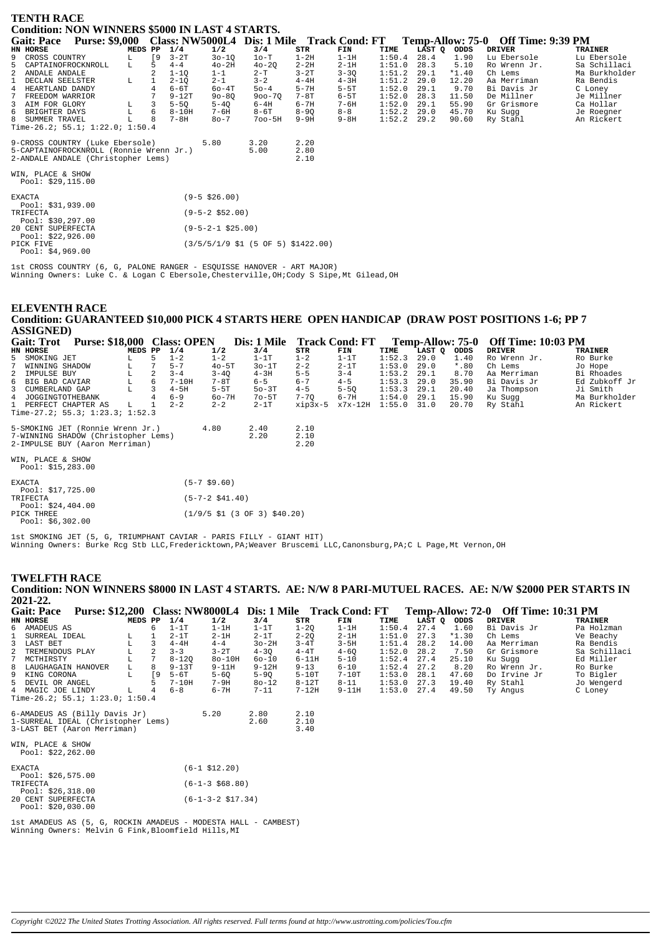| <b>TENTH RACE</b>                       |                                                 |         |    |           |                        |            |          |                                                           |        |        |         |  |                                    |                |
|-----------------------------------------|-------------------------------------------------|---------|----|-----------|------------------------|------------|----------|-----------------------------------------------------------|--------|--------|---------|--|------------------------------------|----------------|
|                                         | Condition: NON WINNERS \$5000 IN LAST 4 STARTS. |         |    |           |                        |            |          |                                                           |        |        |         |  |                                    |                |
| <b>Gait: Pace</b>                       |                                                 |         |    |           |                        |            |          | Purse: \$9,000 Class: NW5000L4 Dis: 1 Mile Track Cond: FT |        |        |         |  | Temp-Allow: 75-0 Off Time: 9:39 PM |                |
|                                         |                                                 |         |    |           |                        |            |          |                                                           |        |        |         |  |                                    |                |
| HN HORSE                                |                                                 | MEDS PP |    | 1/4       | 1/2                    | 3/4        | STR      | FIN                                                       | TIME   | LAST Q | ODDS    |  | <b>DRIVER</b>                      | <b>TRAINER</b> |
| CROSS COUNTRY<br>9                      |                                                 | L.      | [9 | $3-2T$    | $30 - 10$              | $1o-T$     | $1-2H$   | $1-1H$                                                    | 1:50.4 | 28.4   | 1.90    |  | Lu Ebersole                        | Lu Ebersole    |
| CAPTAINOFROCKNROLL<br>5.                |                                                 | L.      | 5  | $4 - 4$   | $40-2H$                | $40 - 20$  | $2 - 2H$ | $2-1H$                                                    | 1:51.0 | 28.3   | 5.10    |  | Ro Wrenn Jr.                       | Sa Schillaci   |
| 2<br>ANDALE ANDALE                      |                                                 |         |    | $1 - 10$  | $1 - 1$                | $2 - T$    | $3-2T$   | $3 - 3Q$                                                  | 1:51.2 | 29.1   | $*1.40$ |  | Ch Lems                            | Ma Burkholder  |
| DECLAN SEELSTER                         |                                                 | L       |    | $2 - 1Q$  | $2 - 1$                | $3 - 2$    | $4 - 4H$ | $4 - 3H$                                                  | 1:51.2 | 29.0   | 12.20   |  | Aa Merriman                        | Ra Bendis      |
| HEARTLAND DANDY<br>$\overline{4}$       |                                                 |         |    | $6-6T$    | $60 - 4T$              | $50 - 4$   | $5 - 7H$ | $5-5T$                                                    | 1:52.0 | 29.1   | 9.70    |  | Bi Davis Jr                        | C Loney        |
| FREEDOM WARRIOR                         |                                                 |         |    | $9 - 12T$ | $90 - 80$              | $900 - 70$ | $7-8T$   | $6 - 5T$                                                  | 1:52.0 | 28.3   | 11.50   |  | De Millner                         | Je Millner     |
| AIM FOR GLORY<br>3                      |                                                 |         | 3  | $5-5Q$    | $5-4Q$                 | $6-4H$     | $6 - 7H$ | $7 - 6H$                                                  | 1:52.0 | 29.1   | 55.90   |  | Gr Grismore                        | Ca Hollar      |
| BRIGHTER DAYS<br>6                      |                                                 |         | 6  | $8 - 10H$ | $7 - 6H$               | $8-6T$     | $8 - 90$ | $8 - 8$                                                   | 1:52.2 | 29.0   | 45.70   |  | Ku Sugg                            | Je Roegner     |
| 8<br>SUMMER TRAVEL                      |                                                 |         |    | $7 - 8H$  | $80 - 7$               | $700 - 5H$ | $9-9H$   | $9 - 8H$                                                  | 1:52.2 | 29.2   | 90.60   |  | Ry Stahl                           | An Rickert     |
| Time-26.2; 55.1; 1:22.0; 1:50.4         |                                                 |         |    |           |                        |            |          |                                                           |        |        |         |  |                                    |                |
| 9-CROSS COUNTRY (Luke Ebersole)         |                                                 |         |    |           | 5.80                   | 3.20       | 2.20     |                                                           |        |        |         |  |                                    |                |
| 5-CAPTAINOFROCKNROLL (Ronnie Wrenn Jr.) |                                                 |         |    |           |                        | 5.00       | 2.80     |                                                           |        |        |         |  |                                    |                |
|                                         |                                                 |         |    |           |                        |            |          |                                                           |        |        |         |  |                                    |                |
| 2-ANDALE ANDALE (Christopher Lems)      |                                                 |         |    |           |                        |            | 2.10     |                                                           |        |        |         |  |                                    |                |
| WIN, PLACE & SHOW                       |                                                 |         |    |           |                        |            |          |                                                           |        |        |         |  |                                    |                |
| Pool: \$29,115.00                       |                                                 |         |    |           |                        |            |          |                                                           |        |        |         |  |                                    |                |
|                                         |                                                 |         |    |           |                        |            |          |                                                           |        |        |         |  |                                    |                |
| <b>EXACTA</b>                           |                                                 |         |    |           | $(9 - 5 \ $26.00)$     |            |          |                                                           |        |        |         |  |                                    |                |
| Pool: \$31,939.00                       |                                                 |         |    |           |                        |            |          |                                                           |        |        |         |  |                                    |                |
| TRIFECTA                                |                                                 |         |    |           | $(9 - 5 - 2 \ $52.00)$ |            |          |                                                           |        |        |         |  |                                    |                |
| Pool: $$30,297.00$                      |                                                 |         |    |           |                        |            |          |                                                           |        |        |         |  |                                    |                |
| 20 CENT SUPERFECTA                      |                                                 |         |    |           | $(9-5-2-1$ \$25.00)    |            |          |                                                           |        |        |         |  |                                    |                |
| nool: 699 096 AA                        |                                                 |         |    |           |                        |            |          |                                                           |        |        |         |  |                                    |                |

Pool: \$22,926.00<br>PICK FIVE  $(3/5/5/1/9 \text{ } 51 \text{ } (5 \text{ } 0F \text{ } 5) \text{ } $1422.00)$ Pool: \$4,969.00

1st CROSS COUNTRY (6, G, PALONE RANGER - ESQUISSE HANOVER - ART MAJOR)<br>Winning Owners: Luke C. & Logan C Ebersole, Chesterville, OH; Cody S Sipe, Mt Gilead, OH

#### **ELEVENTH RACE** Condition: GUARANTEED \$10,000 PICK 4 STARTS HERE OPEN HANDICAP (DRAW POST POSITIONS 1-6; PP 7 **ASSIGNED)**

| Purse: \$18,000 Class: OPEN<br><b>Gait: Trot</b> |                                                                                                                 |         |    |         | Dis: 1 Mile            |         | <b>Track Cond: FT</b> |          | Temp-Allow: 75-0 |        | <b>Off Time: 10:03 PM</b> |               |                |
|--------------------------------------------------|-----------------------------------------------------------------------------------------------------------------|---------|----|---------|------------------------|---------|-----------------------|----------|------------------|--------|---------------------------|---------------|----------------|
| HN HORSE                                         |                                                                                                                 | MEDS PP |    | 1/4     | 1/2                    | 3/4     | STR                   | FIN      | TIME             | LAST Q | ODDS                      | <b>DRIVER</b> | <b>TRAINER</b> |
| 5 SMOKING JET                                    |                                                                                                                 |         | 5. | $1 - 2$ | $1 - 2$                | $1-1T$  | $1 - 2$               | $1-1T$   | 1:52.3           | 29.0   | 1.40                      | Ro Wrenn Jr.  | Ro Burke       |
| 7                                                | WINNING SHADOW                                                                                                  | L       |    | $5 - 7$ | $40 - 5T$              | $30-1T$ | $2 - 2$               | $2-1T$   | 1:53.0           | 29.0   | $*$ .80                   | Ch Lems       | Jo Hope        |
| 2 IMPULSE BUY                                    |                                                                                                                 | г       | 2  | $3 - 4$ | $3 - 40$               | $4-3H$  | $5 - 5$               | $3 - 4$  | 1:53.2           | 29.1   | 8.70                      | Aa Merriman   | Bi Rhoades     |
| 6 BIG BAD CAVIAR                                 |                                                                                                                 | L       | 6  | $7-10H$ | 7-8T                   | $6 - 5$ | $6 - 7$               | $4 - 5$  | 1:53.3           | 29.0   | 35.90                     | Bi Davis Jr   | Ed Zubkoff Jr  |
| 3 CUMBERLAND GAP                                 |                                                                                                                 |         |    | $4-5H$  | $5-5T$                 | $50-3T$ | $4 - 5$               | $5 - 50$ | 1:53.3           | 29.1   | 20.40                     | Ja Thompson   | Ji Smith       |
|                                                  | 4 JOGGINGTOTHEBANK                                                                                              |         |    | $6 - 9$ | $60-7H$                | $7o-5T$ | $7 - 70$              | $6 - 7H$ | 1:54.0           | 29.1   | 15.90                     | Ku Suqq       | Ma Burkholder  |
|                                                  | 1 PERFECT CHAPTER AS                                                                                            | L.      |    | $2 - 2$ | $2 - 2$                | $2-1T$  | $xip3x-5$             | x7x-12H  | 1:55.0           | 31.0   | 20.70                     | Ry Stahl      | An Rickert     |
|                                                  | Time-27.2; 55.3; $1:23.3$ ; $1:52.3$                                                                            |         |    |         |                        |         |                       |          |                  |        |                           |               |                |
|                                                  | 5-SMOKING JET (Ronnie Wrenn Jr.)                                                                                |         |    |         | 4.80                   | 2.40    | 2.10                  |          |                  |        |                           |               |                |
|                                                  | 7-WINNING SHADOW (Christopher Lems)                                                                             |         |    |         |                        | 2.20    | 2.10                  |          |                  |        |                           |               |                |
|                                                  | 2-IMPULSE BUY (Aaron Merriman)                                                                                  |         |    |         |                        |         | 2.20                  |          |                  |        |                           |               |                |
| WIN, PLACE & SHOW                                | Pool: \$15,283.00                                                                                               |         |    |         |                        |         |                       |          |                  |        |                           |               |                |
| <b>EXACTA</b>                                    | Pool: \$17,725.00                                                                                               |         |    |         | $(5-7, $9.60)$         |         |                       |          |                  |        |                           |               |                |
| TRIFECTA                                         | the contract of the contract of the contract of the contract of the contract of the contract of the contract of |         |    |         | $(5 - 7 - 2 \ $41.40)$ |         |                       |          |                  |        |                           |               |                |

Pool: \$24,404.00 PICK THREE  $(1/9/5 \text{ } $1 \text{ } (3 \text{ } 0F \text{ } 3) \text{ } $40.20)$ Pool:  $$6,302.00$ 

lst SMOKING JET (5, G, TRIUMPHANT CAVIAR - PARIS FILLY - GIANT HIT)<br>Winning Owners: Burke Rcg Stb LLC,Fredericktown,PA;Weaver Bruscemi LLC,Canonsburg,PA;C L Page,Mt Vernon,OH

#### **TWELFTH RACE**

Condition: NON WINNERS \$8000 IN LAST 4 STARTS. AE: N/W 8 PARI-MUTUEL RACES. AE: N/W \$2000 PER STARTS IN 2021-22.

|   | <b>Gait: Pace</b>    | <b>Purse: \$12,200</b>             |         |               |           | <b>Class: NW8000L4</b> | Dis: 1 Mile Track Cond: FT |           |          |        |             |         |               | Temp-Allow: 72-0 Off Time: 10:31 PM |                |
|---|----------------------|------------------------------------|---------|---------------|-----------|------------------------|----------------------------|-----------|----------|--------|-------------|---------|---------------|-------------------------------------|----------------|
|   | HN HORSE             |                                    | MEDS PP |               | 1/4       | 1/2                    | 3/4                        | STR       | FIN      | TIME   | LAST Q ODDS |         | <b>DRIVER</b> |                                     | <b>TRAINER</b> |
|   | 6 AMADEUS AS         |                                    |         | 6             | $1-1T$    | $1-1H$                 | $1-1T$                     | $1 - 20$  | $1-1H$   | 1:50.4 | 27.4        | 1.60    |               | Bi Davis Jr                         | Pa Holzman     |
|   | SURREAL IDEAL        |                                    | L       |               | $2 - 1T$  | $2 - 1H$               | $2-1T$                     | $2 - 20$  | $2-1H$   | 1:51.0 | 27.3        | $*1.30$ | Ch Lems       |                                     | Ve Beachy      |
|   | 3 LAST BET           |                                    | L       | 3             | $4 - 4H$  | $4 - 4$                | $3o-2H$                    | $3 - 4T$  | $3-5H$   | 1:51.4 | 28.2        | 14.00   |               | Aa Merriman                         | Ra Bendis      |
|   | 2 TREMENDOUS PLAY    |                                    | L       | $\mathcal{L}$ | $3 - 3$   | $3-2T$                 | $4 - 30$                   | $4-4T$    | $4 - 60$ | 1:52.0 | 28.2        | 7.50    |               | Gr Grismore                         | Sa Schillaci   |
| 7 | MCTHIRSTY            |                                    | L       |               | $8 - 120$ | $8o-10H$               | $60 - 10$                  | $6-11H$   | $5 - 10$ | 1:52.4 | 27.4        | 25.10   | Ku Suqq       |                                     | Ed Miller      |
|   | 8 LAUGHAGAIN HANOVER |                                    | L       | 8             | $9-13T$   | $9 - 11H$              | $9-12H$                    | $9 - 13$  | $6 - 10$ | 1:52.4 | 27.2        | 8.20    |               | Ro Wrenn Jr.                        | Ro Burke       |
|   | 9 KING CORONA        |                                    | L       | ſ9.           | $5-6T$    | $5 - 60$               | $5 - 90$                   | $5-10T$   | $7-10T$  | 1:53.0 | 28.1        | 47.60   |               | Do Irvine Jr                        | To Bigler      |
|   | 5 DEVIL OR ANGEL     |                                    |         |               | $7 - 10H$ | $7-9H$                 | $80 - 12$                  | $8 - 12T$ | $8 - 11$ | 1:53.0 | 27.3        | 19.40   | Ry Stahl      |                                     | Jo Wengerd     |
|   | 4 MAGIC JOE LINDY    |                                    | L.      | 4             | $6 - 8$   | $6 - 7H$               | $7 - 11$                   | $7-12H$   | $9-11H$  | 1:53.0 | 27.4        | 49.50   | Ty Angus      |                                     | C Loney        |
|   |                      | Time-26.2; 55.1; 1:23.0; 1:50.4    |         |               |           |                        |                            |           |          |        |             |         |               |                                     |                |
|   |                      | 6-AMADEUS AS (Billy Davis Jr)      |         |               |           | 5.20                   | 2.80                       | 2.10      |          |        |             |         |               |                                     |                |
|   |                      | 1-SURREAL IDEAL (Christopher Lems) |         |               |           |                        | 2.60                       | 2.10      |          |        |             |         |               |                                     |                |
|   |                      | 3-LAST BET (Aaron Merriman)        |         |               |           |                        |                            | 3.40      |          |        |             |         |               |                                     |                |
|   | WIN, PLACE & SHOW    |                                    |         |               |           |                        |                            |           |          |        |             |         |               |                                     |                |
|   | Pool: $$22,262.00$   |                                    |         |               |           |                        |                            |           |          |        |             |         |               |                                     |                |

| <b>EXACTA</b>      |                    | $(6-1$ \$12.20)          |
|--------------------|--------------------|--------------------------|
|                    | Pool: $$26,575.00$ |                          |
| TRIFECTA           |                    | $(6-1-3 \t568.80)$       |
|                    | Pool: $$26.318.00$ |                          |
|                    |                    |                          |
| 20 CENT SUPERFECTA |                    | $(6-1-3-2 \cdot $17.34)$ |
|                    | Pool: $$20.030.00$ |                          |

lst AMADEUS AS (5, G, ROCKIN AMADEUS - MODESTA HALL - CAMBEST)<br>Winning Owners: Melvin G Fink, Bloomfield Hills, MI